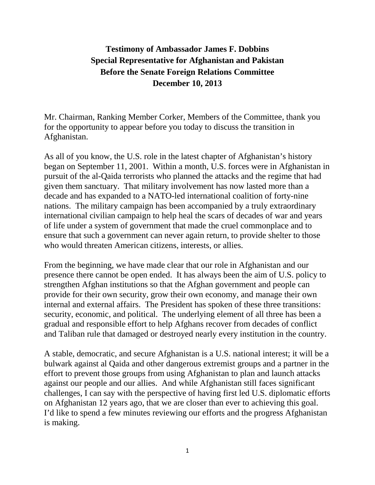## **Testimony of Ambassador James F. Dobbins Special Representative for Afghanistan and Pakistan Before the Senate Foreign Relations Committee December 10, 2013**

Mr. Chairman, Ranking Member Corker, Members of the Committee, thank you for the opportunity to appear before you today to discuss the transition in Afghanistan.

As all of you know, the U.S. role in the latest chapter of Afghanistan's history began on September 11, 2001. Within a month, U.S. forces were in Afghanistan in pursuit of the al-Qaida terrorists who planned the attacks and the regime that had given them sanctuary. That military involvement has now lasted more than a decade and has expanded to a NATO-led international coalition of forty-nine nations. The military campaign has been accompanied by a truly extraordinary international civilian campaign to help heal the scars of decades of war and years of life under a system of government that made the cruel commonplace and to ensure that such a government can never again return, to provide shelter to those who would threaten American citizens, interests, or allies.

From the beginning, we have made clear that our role in Afghanistan and our presence there cannot be open ended. It has always been the aim of U.S. policy to strengthen Afghan institutions so that the Afghan government and people can provide for their own security, grow their own economy, and manage their own internal and external affairs. The President has spoken of these three transitions: security, economic, and political. The underlying element of all three has been a gradual and responsible effort to help Afghans recover from decades of conflict and Taliban rule that damaged or destroyed nearly every institution in the country.

A stable, democratic, and secure Afghanistan is a U.S. national interest; it will be a bulwark against al Qaida and other dangerous extremist groups and a partner in the effort to prevent those groups from using Afghanistan to plan and launch attacks against our people and our allies. And while Afghanistan still faces significant challenges, I can say with the perspective of having first led U.S. diplomatic efforts on Afghanistan 12 years ago, that we are closer than ever to achieving this goal. I'd like to spend a few minutes reviewing our efforts and the progress Afghanistan is making.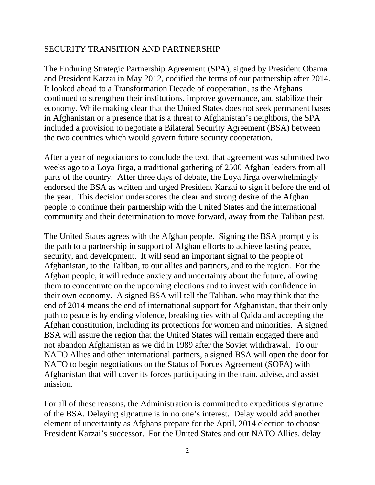## SECURITY TRANSITION AND PARTNERSHIP

The Enduring Strategic Partnership Agreement (SPA), signed by President Obama and President Karzai in May 2012, codified the terms of our partnership after 2014. It looked ahead to a Transformation Decade of cooperation, as the Afghans continued to strengthen their institutions, improve governance, and stabilize their economy. While making clear that the United States does not seek permanent bases in Afghanistan or a presence that is a threat to Afghanistan's neighbors, the SPA included a provision to negotiate a Bilateral Security Agreement (BSA) between the two countries which would govern future security cooperation.

After a year of negotiations to conclude the text, that agreement was submitted two weeks ago to a Loya Jirga, a traditional gathering of 2500 Afghan leaders from all parts of the country. After three days of debate, the Loya Jirga overwhelmingly endorsed the BSA as written and urged President Karzai to sign it before the end of the year. This decision underscores the clear and strong desire of the Afghan people to continue their partnership with the United States and the international community and their determination to move forward, away from the Taliban past.

The United States agrees with the Afghan people. Signing the BSA promptly is the path to a partnership in support of Afghan efforts to achieve lasting peace, security, and development. It will send an important signal to the people of Afghanistan, to the Taliban, to our allies and partners, and to the region. For the Afghan people, it will reduce anxiety and uncertainty about the future, allowing them to concentrate on the upcoming elections and to invest with confidence in their own economy. A signed BSA will tell the Taliban, who may think that the end of 2014 means the end of international support for Afghanistan, that their only path to peace is by ending violence, breaking ties with al Qaida and accepting the Afghan constitution, including its protections for women and minorities. A signed BSA will assure the region that the United States will remain engaged there and not abandon Afghanistan as we did in 1989 after the Soviet withdrawal. To our NATO Allies and other international partners, a signed BSA will open the door for NATO to begin negotiations on the Status of Forces Agreement (SOFA) with Afghanistan that will cover its forces participating in the train, advise, and assist mission.

For all of these reasons, the Administration is committed to expeditious signature of the BSA. Delaying signature is in no one's interest. Delay would add another element of uncertainty as Afghans prepare for the April, 2014 election to choose President Karzai's successor. For the United States and our NATO Allies, delay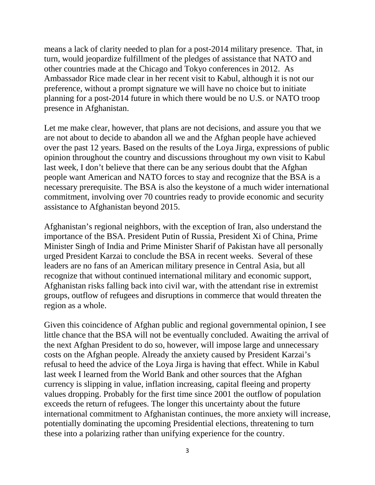means a lack of clarity needed to plan for a post-2014 military presence. That, in turn, would jeopardize fulfillment of the pledges of assistance that NATO and other countries made at the Chicago and Tokyo conferences in 2012. As Ambassador Rice made clear in her recent visit to Kabul, although it is not our preference, without a prompt signature we will have no choice but to initiate planning for a post-2014 future in which there would be no U.S. or NATO troop presence in Afghanistan.

Let me make clear, however, that plans are not decisions, and assure you that we are not about to decide to abandon all we and the Afghan people have achieved over the past 12 years. Based on the results of the Loya Jirga, expressions of public opinion throughout the country and discussions throughout my own visit to Kabul last week, I don't believe that there can be any serious doubt that the Afghan people want American and NATO forces to stay and recognize that the BSA is a necessary prerequisite. The BSA is also the keystone of a much wider international commitment, involving over 70 countries ready to provide economic and security assistance to Afghanistan beyond 2015.

Afghanistan's regional neighbors, with the exception of Iran, also understand the importance of the BSA. President Putin of Russia, President Xi of China, Prime Minister Singh of India and Prime Minister Sharif of Pakistan have all personally urged President Karzai to conclude the BSA in recent weeks. Several of these leaders are no fans of an American military presence in Central Asia, but all recognize that without continued international military and economic support, Afghanistan risks falling back into civil war, with the attendant rise in extremist groups, outflow of refugees and disruptions in commerce that would threaten the region as a whole.

Given this coincidence of Afghan public and regional governmental opinion, I see little chance that the BSA will not be eventually concluded. Awaiting the arrival of the next Afghan President to do so, however, will impose large and unnecessary costs on the Afghan people. Already the anxiety caused by President Karzai's refusal to heed the advice of the Loya Jirga is having that effect. While in Kabul last week I learned from the World Bank and other sources that the Afghan currency is slipping in value, inflation increasing, capital fleeing and property values dropping. Probably for the first time since 2001 the outflow of population exceeds the return of refugees. The longer this uncertainty about the future international commitment to Afghanistan continues, the more anxiety will increase, potentially dominating the upcoming Presidential elections, threatening to turn these into a polarizing rather than unifying experience for the country.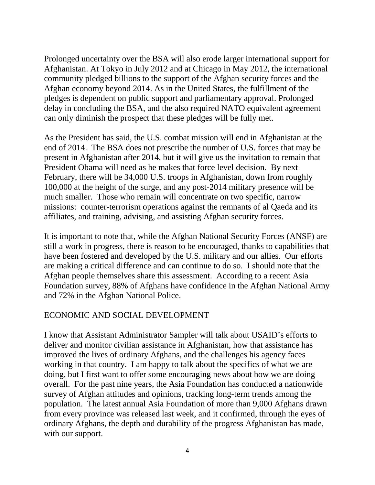Prolonged uncertainty over the BSA will also erode larger international support for Afghanistan. At Tokyo in July 2012 and at Chicago in May 2012, the international community pledged billions to the support of the Afghan security forces and the Afghan economy beyond 2014. As in the United States, the fulfillment of the pledges is dependent on public support and parliamentary approval. Prolonged delay in concluding the BSA, and the also required NATO equivalent agreement can only diminish the prospect that these pledges will be fully met.

As the President has said, the U.S. combat mission will end in Afghanistan at the end of 2014. The BSA does not prescribe the number of U.S. forces that may be present in Afghanistan after 2014, but it will give us the invitation to remain that President Obama will need as he makes that force level decision. By next February, there will be 34,000 U.S. troops in Afghanistan, down from roughly 100,000 at the height of the surge, and any post-2014 military presence will be much smaller. Those who remain will concentrate on two specific, narrow missions: counter-terrorism operations against the remnants of al Qaeda and its affiliates, and training, advising, and assisting Afghan security forces.

It is important to note that, while the Afghan National Security Forces (ANSF) are still a work in progress, there is reason to be encouraged, thanks to capabilities that have been fostered and developed by the U.S. military and our allies. Our efforts are making a critical difference and can continue to do so. I should note that the Afghan people themselves share this assessment. According to a recent Asia Foundation survey, 88% of Afghans have confidence in the Afghan National Army and 72% in the Afghan National Police.

## ECONOMIC AND SOCIAL DEVELOPMENT

I know that Assistant Administrator Sampler will talk about USAID's efforts to deliver and monitor civilian assistance in Afghanistan, how that assistance has improved the lives of ordinary Afghans, and the challenges his agency faces working in that country. I am happy to talk about the specifics of what we are doing, but I first want to offer some encouraging news about how we are doing overall. For the past nine years, the Asia Foundation has conducted a nationwide survey of Afghan attitudes and opinions, tracking long-term trends among the population. The latest annual Asia Foundation of more than 9,000 Afghans drawn from every province was released last week, and it confirmed, through the eyes of ordinary Afghans, the depth and durability of the progress Afghanistan has made, with our support.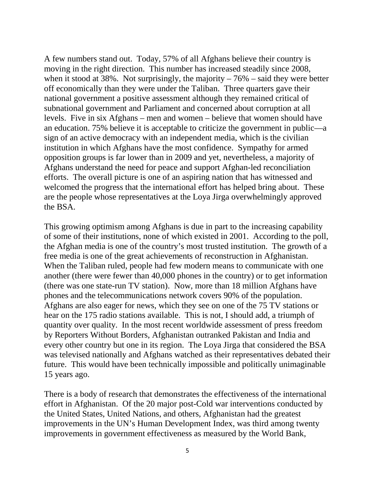A few numbers stand out. Today, 57% of all Afghans believe their country is moving in the right direction. This number has increased steadily since 2008, when it stood at 38%. Not surprisingly, the majority  $-76%$  – said they were better off economically than they were under the Taliban. Three quarters gave their national government a positive assessment although they remained critical of subnational government and Parliament and concerned about corruption at all levels. Five in six Afghans – men and women – believe that women should have an education. 75% believe it is acceptable to criticize the government in public—a sign of an active democracy with an independent media, which is the civilian institution in which Afghans have the most confidence. Sympathy for armed opposition groups is far lower than in 2009 and yet, nevertheless, a majority of Afghans understand the need for peace and support Afghan-led reconciliation efforts. The overall picture is one of an aspiring nation that has witnessed and welcomed the progress that the international effort has helped bring about. These are the people whose representatives at the Loya Jirga overwhelmingly approved the BSA.

This growing optimism among Afghans is due in part to the increasing capability of some of their institutions, none of which existed in 2001. According to the poll, the Afghan media is one of the country's most trusted institution. The growth of a free media is one of the great achievements of reconstruction in Afghanistan. When the Taliban ruled, people had few modern means to communicate with one another (there were fewer than 40,000 phones in the country) or to get information (there was one state-run TV station). Now, more than 18 million Afghans have phones and the telecommunications network covers 90% of the population. Afghans are also eager for news, which they see on one of the 75 TV stations or hear on the 175 radio stations available. This is not, I should add, a triumph of quantity over quality. In the most recent worldwide assessment of press freedom by Reporters Without Borders, Afghanistan outranked Pakistan and India and every other country but one in its region. The Loya Jirga that considered the BSA was televised nationally and Afghans watched as their representatives debated their future. This would have been technically impossible and politically unimaginable 15 years ago.

There is a body of research that demonstrates the effectiveness of the international effort in Afghanistan. Of the 20 major post-Cold war interventions conducted by the United States, United Nations, and others, Afghanistan had the greatest improvements in the UN's Human Development Index, was third among twenty improvements in government effectiveness as measured by the World Bank,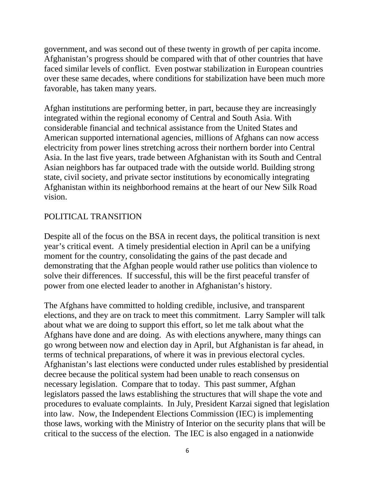government, and was second out of these twenty in growth of per capita income. Afghanistan's progress should be compared with that of other countries that have faced similar levels of conflict. Even postwar stabilization in European countries over these same decades, where conditions for stabilization have been much more favorable, has taken many years.

Afghan institutions are performing better, in part, because they are increasingly integrated within the regional economy of Central and South Asia. With considerable financial and technical assistance from the United States and American supported international agencies, millions of Afghans can now access electricity from power lines stretching across their northern border into Central Asia. In the last five years, trade between Afghanistan with its South and Central Asian neighbors has far outpaced trade with the outside world. Building strong state, civil society, and private sector institutions by economically integrating Afghanistan within its neighborhood remains at the heart of our New Silk Road vision.

## POLITICAL TRANSITION

Despite all of the focus on the BSA in recent days, the political transition is next year's critical event. A timely presidential election in April can be a unifying moment for the country, consolidating the gains of the past decade and demonstrating that the Afghan people would rather use politics than violence to solve their differences. If successful, this will be the first peaceful transfer of power from one elected leader to another in Afghanistan's history.

The Afghans have committed to holding credible, inclusive, and transparent elections, and they are on track to meet this commitment. Larry Sampler will talk about what we are doing to support this effort, so let me talk about what the Afghans have done and are doing. As with elections anywhere, many things can go wrong between now and election day in April, but Afghanistan is far ahead, in terms of technical preparations, of where it was in previous electoral cycles. Afghanistan's last elections were conducted under rules established by presidential decree because the political system had been unable to reach consensus on necessary legislation. Compare that to today. This past summer, Afghan legislators passed the laws establishing the structures that will shape the vote and procedures to evaluate complaints. In July, President Karzai signed that legislation into law. Now, the Independent Elections Commission (IEC) is implementing those laws, working with the Ministry of Interior on the security plans that will be critical to the success of the election. The IEC is also engaged in a nationwide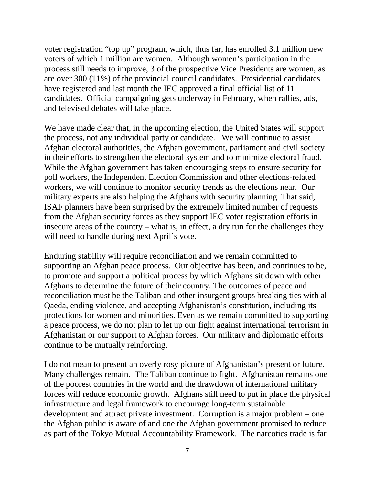voter registration "top up" program, which, thus far, has enrolled 3.1 million new voters of which 1 million are women. Although women's participation in the process still needs to improve, 3 of the prospective Vice Presidents are women, as are over 300 (11%) of the provincial council candidates. Presidential candidates have registered and last month the IEC approved a final official list of 11 candidates. Official campaigning gets underway in February, when rallies, ads, and televised debates will take place.

We have made clear that, in the upcoming election, the United States will support the process, not any individual party or candidate. We will continue to assist Afghan electoral authorities, the Afghan government, parliament and civil society in their efforts to strengthen the electoral system and to minimize electoral fraud. While the Afghan government has taken encouraging steps to ensure security for poll workers, the Independent Election Commission and other elections-related workers, we will continue to monitor security trends as the elections near. Our military experts are also helping the Afghans with security planning. That said, ISAF planners have been surprised by the extremely limited number of requests from the Afghan security forces as they support IEC voter registration efforts in insecure areas of the country – what is, in effect, a dry run for the challenges they will need to handle during next April's vote.

Enduring stability will require reconciliation and we remain committed to supporting an Afghan peace process. Our objective has been, and continues to be, to promote and support a political process by which Afghans sit down with other Afghans to determine the future of their country. The outcomes of peace and reconciliation must be the Taliban and other insurgent groups breaking ties with al Qaeda, ending violence, and accepting Afghanistan's constitution, including its protections for women and minorities. Even as we remain committed to supporting a peace process, we do not plan to let up our fight against international terrorism in Afghanistan or our support to Afghan forces. Our military and diplomatic efforts continue to be mutually reinforcing.

I do not mean to present an overly rosy picture of Afghanistan's present or future. Many challenges remain. The Taliban continue to fight. Afghanistan remains one of the poorest countries in the world and the drawdown of international military forces will reduce economic growth. Afghans still need to put in place the physical infrastructure and legal framework to encourage long-term sustainable development and attract private investment. Corruption is a major problem – one the Afghan public is aware of and one the Afghan government promised to reduce as part of the Tokyo Mutual Accountability Framework. The narcotics trade is far